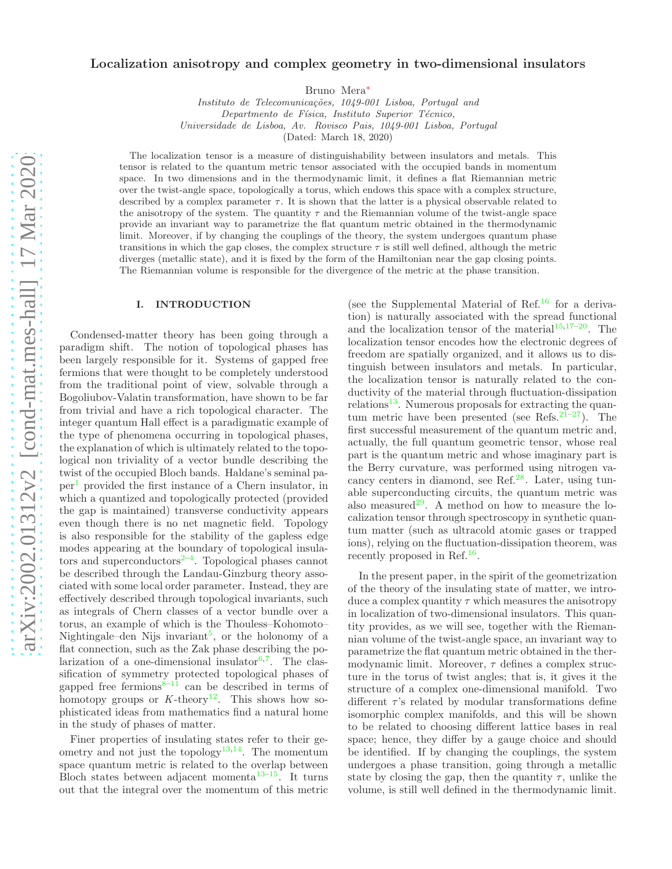# Localization anisotropy and complex geometry in two-dimensional insulators

Bruno Mera[∗](#page-5-0)

*Instituto de Telecomunica¸c˜oes, 1049-001 Lisboa, Portugal and Departmento de F´ısica, Instituto Superior T´ecnico, Universidade de Lisboa, Av. Rovisco Pais, 1049-001 Lisboa, Portugal* (Dated: March 18, 2020)

The localization tensor is a measure of distinguishability between insulators and metals. This tensor is related to the quantum metric tensor associated with the occupied bands in momentum space. In two dimensions and in the thermodynamic limit, it defines a flat Riemannian metric over the twist-angle space, topologically a torus, which endows this space with a complex structure, described by a complex parameter  $\tau$ . It is shown that the latter is a physical observable related to the anisotropy of the system. The quantity  $\tau$  and the Riemannian volume of the twist-angle space provide an invariant way to parametrize the flat quantum metric obtained in the thermodynamic limit. Moreover, if by changing the couplings of the theory, the system undergoes quantum phase transitions in which the gap closes, the complex structure  $\tau$  is still well defined, although the metric diverges (metallic state), and it is fixed by the form of the Hamiltonian near the gap closing points. The Riemannian volume is responsible for the divergence of the metric at the phase transition.

#### I. INTRODUCTION

Condensed-matter theory has been going through a paradigm shift. The notion of topological phases has been largely responsible for it. Systems of gapped free fermions that were thought to be completely understood from the traditional point of view, solvable through a Bogoliubov-Valatin transformation, have shown to be far from trivial and have a rich topological character. The integer quantum Hall effect is a paradigmatic example of the type of phenomena occurring in topological phases, the explanation of which is ultimately related to the topological non triviality of a vector bundle describing the twist of the occupied Bloch bands. Haldane's seminal paper[1](#page-5-1) provided the first instance of a Chern insulator, in which a quantized and topologically protected (provided the gap is maintained) transverse conductivity appears even though there is no net magnetic field. Topology is also responsible for the stability of the gapless edge modes appearing at the boundary of topological insulators and superconductors $2-4$  $2-4$ . Topological phases cannot be described through the Landau-Ginzburg theory associated with some local order parameter. Instead, they are effectively described through topological invariants, such as integrals of Chern classes of a vector bundle over a torus, an example of which is the Thouless–Kohomoto– Nightingale–den Nijs invariant<sup>[5](#page-5-4)</sup>, or the holonomy of a flat connection, such as the Zak phase describing the pola[r](#page-5-5)ization of a one-dimensional insulator  $6,7$  $6,7$ . The classification of symmetry protected topological phases of gapped free fermion[s](#page-5-7) $8-11$  can be described in terms of homotopy groups or  $K$ -theory<sup>[12](#page-5-9)</sup>. This shows how sophisticated ideas from mathematics find a natural home in the study of phases of matter.

Finer properties of insulating states refer to their ge-ometry and not just the topology<sup>[13](#page-5-10)[,14](#page-5-11)</sup>. The momentum space quantum metric is related to the overlap between Bloch states between adjacent momenta<sup>[13](#page-5-10)[–15](#page-5-12)</sup>. It turns out that the integral over the momentum of this metric

(see the Supplemental Material of Ref.<sup>[16](#page-5-13)</sup> for a derivation) is naturally associated with the spread functional and the localization tensor of the material<sup>[15](#page-5-12)[,17](#page-5-14)[–20](#page-5-15)</sup>. The localization tensor encodes how the electronic degrees of freedom are spatially organized, and it allows us to distinguish between insulators and metals. In particular, the localization tensor is naturally related to the conductivity of the material through fluctuation-dissipation  $relations<sup>13</sup>$  $relations<sup>13</sup>$  $relations<sup>13</sup>$ . Numerous proposals for extracting the quantum metric have been presented (see Refs. $21-27$  $21-27$ ). The first successful measurement of the quantum metric and, actually, the full quantum geometric tensor, whose real part is the quantum metric and whose imaginary part is the Berry curvature, was performed using nitrogen vacancy centers in diamond, see Ref. $^{28}$  $^{28}$  $^{28}$ . Later, using tunable superconducting circuits, the quantum metric was also measured<sup>[29](#page-6-2)</sup>. A method on how to measure the localization tensor through spectroscopy in synthetic quantum matter (such as ultracold atomic gases or trapped ions), relying on the fluctuation-dissipation theorem, was recently proposed in Ref.<sup>[16](#page-5-13)</sup>.

In the present paper, in the spirit of the geometrization of the theory of the insulating state of matter, we introduce a complex quantity  $\tau$  which measures the anisotropy in localization of two-dimensional insulators. This quantity provides, as we will see, together with the Riemannian volume of the twist-angle space, an invariant way to parametrize the flat quantum metric obtained in the thermodynamic limit. Moreover,  $\tau$  defines a complex structure in the torus of twist angles; that is, it gives it the structure of a complex one-dimensional manifold. Two different  $\tau$ 's related by modular transformations define isomorphic complex manifolds, and this will be shown to be related to choosing different lattice bases in real space; hence, they differ by a gauge choice and should be identified. If by changing the couplings, the system undergoes a phase transition, going through a metallic state by closing the gap, then the quantity  $\tau$ , unlike the volume, is still well defined in the thermodynamic limit.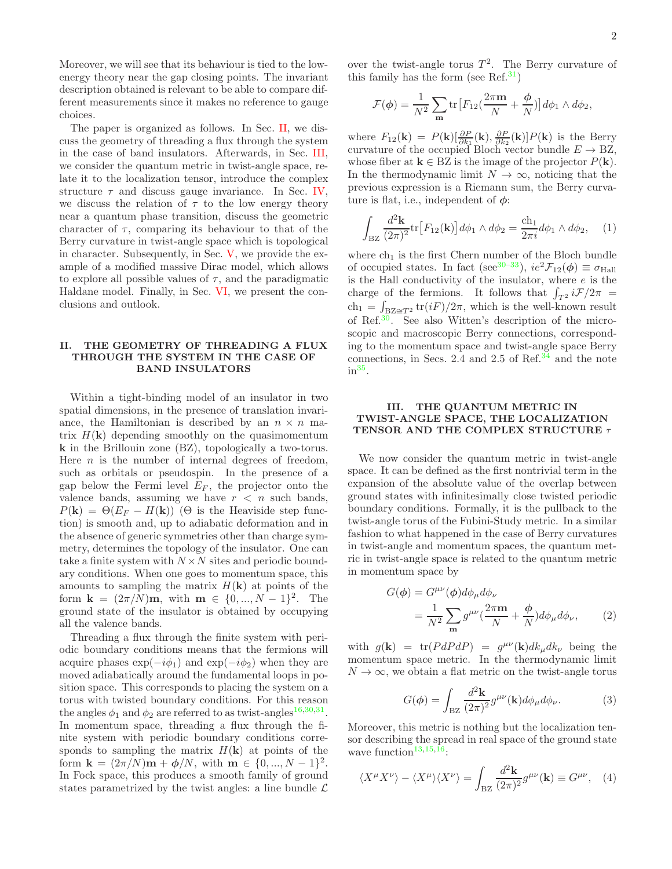Moreover, we will see that its behaviour is tied to the lowenergy theory near the gap closing points. The invariant description obtained is relevant to be able to compare different measurements since it makes no reference to gauge choices.

The paper is organized as follows. In Sec. [II,](#page-1-0) we discuss the geometry of threading a flux through the system in the case of band insulators. Afterwards, in Sec. [III,](#page-1-1) we consider the quantum metric in twist-angle space, relate it to the localization tensor, introduce the complex structure  $\tau$  and discuss gauge invariance. In Sec. [IV,](#page-2-0) we discuss the relation of  $\tau$  to the low energy theory near a quantum phase transition, discuss the geometric character of  $\tau$ , comparing its behaviour to that of the Berry curvature in twist-angle space which is topological in character. Subsequently, in Sec. [V,](#page-4-0) we provide the example of a modified massive Dirac model, which allows to explore all possible values of  $\tau$ , and the paradigmatic Haldane model. Finally, in Sec. [VI,](#page-4-1) we present the conclusions and outlook.

# <span id="page-1-0"></span>II. THE GEOMETRY OF THREADING A FLUX THROUGH THE SYSTEM IN THE CASE OF BAND INSULATORS

Within a tight-binding model of an insulator in two spatial dimensions, in the presence of translation invariance, the Hamiltonian is described by an  $n \times n$  matrix  $H(\mathbf{k})$  depending smoothly on the quasimomentum k in the Brillouin zone (BZ), topologically a two-torus. Here  $n$  is the number of internal degrees of freedom, such as orbitals or pseudospin. In the presence of a gap below the Fermi level  $E_F$ , the projector onto the valence bands, assuming we have  $r < n$  such bands,  $P(\mathbf{k}) = \Theta(E_F - H(\mathbf{k}))$  ( $\Theta$  is the Heaviside step function) is smooth and, up to adiabatic deformation and in the absence of generic symmetries other than charge symmetry, determines the topology of the insulator. One can take a finite system with  $N \times N$  sites and periodic boundary conditions. When one goes to momentum space, this amounts to sampling the matrix  $H(\mathbf{k})$  at points of the form  $\mathbf{k} = (2\pi/N)\mathbf{m}$ , with  $\mathbf{m} \in \{0, ..., N-1\}^2$ . The ground state of the insulator is obtained by occupying all the valence bands.

Threading a flux through the finite system with periodic boundary conditions means that the fermions will acquire phases  $\exp(-i\phi_1)$  and  $\exp(-i\phi_2)$  when they are moved adiabatically around the fundamental loops in position space. This corresponds to placing the system on a torus with twisted boundary conditions. For this reason the angles  $\phi_1$  and  $\phi_2$  are referred to as twist-angles<sup>[16](#page-5-13)[,30](#page-6-3)[,31](#page-6-4)</sup>. In momentum space, threading a flux through the finite system with periodic boundary conditions corresponds to sampling the matrix  $H(\mathbf{k})$  at points of the form  $\mathbf{k} = (2\pi/N)\mathbf{m} + \phi/N$ , with  $\mathbf{m} \in \{0, ..., N - 1\}^2$ . In Fock space, this produces a smooth family of ground states parametrized by the twist angles: a line bundle  $\mathcal L$ 

over the twist-angle torus  $T^2$ . The Berry curvature of this family has the form (see Ref.<sup>[31](#page-6-4)</sup>)

$$
\mathcal{F}(\phi) = \frac{1}{N^2} \sum_{\mathbf{m}} \text{tr} \big[ F_{12} \big( \frac{2\pi \mathbf{m}}{N} + \frac{\phi}{N} \big) \big] d\phi_1 \wedge d\phi_2,
$$

where  $F_{12}(\mathbf{k}) = P(\mathbf{k}) \left[ \frac{\partial P}{\partial k_1}(\mathbf{k}), \frac{\partial P}{\partial k_2}(\mathbf{k}) \right] P(\mathbf{k})$  is the Berry curvature of the occupied Bloch vector bundle  $E \to BZ$ , whose fiber at  $\mathbf{k} \in BZ$  is the image of the projector  $P(\mathbf{k})$ . In the thermodynamic limit  $N \to \infty$ , noticing that the previous expression is a Riemann sum, the Berry curvature is flat, i.e., independent of  $\phi$ :

$$
\int_{\text{BZ}} \frac{d^2 \mathbf{k}}{(2\pi)^2} \text{tr}\left[F_{12}(\mathbf{k})\right] d\phi_1 \wedge d\phi_2 = \frac{\text{ch}_1}{2\pi i} d\phi_1 \wedge d\phi_2,\quad (1)
$$

where  $ch_1$  is the first Chern number of the Bloch bundle of occupied states. In fact (see<sup>[30](#page-6-3)[–33](#page-6-5)</sup>),  $ie^2\mathcal{F}_{12}(\phi) \equiv \sigma_{\text{Hall}}$ is the Hall conductivity of the insulator, where  $e$  is the charge of the fermions. It follows that  $\int_{T^2} i\mathcal{F}/2\pi$  =  $\ch_1 = \int_{\text{BZ} \cong T^2} \text{tr}(iF)/2\pi$ , which is the well-known result of Ref.[30](#page-6-3). See also Witten's description of the microscopic and macroscopic Berry connections, corresponding to the momentum space and twist-angle space Berry connections, in Secs. 2.4 and 2.5 of Ref. $34$  and the note  $in<sup>35</sup>$  $in<sup>35</sup>$  $in<sup>35</sup>$ .

## <span id="page-1-1"></span>III. THE QUANTUM METRIC IN TWIST-ANGLE SPACE, THE LOCALIZATION TENSOR AND THE COMPLEX STRUCTURE  $\tau$

We now consider the quantum metric in twist-angle space. It can be defined as the first nontrivial term in the expansion of the absolute value of the overlap between ground states with infinitesimally close twisted periodic boundary conditions. Formally, it is the pullback to the twist-angle torus of the Fubini-Study metric. In a similar fashion to what happened in the case of Berry curvatures in twist-angle and momentum spaces, the quantum metric in twist-angle space is related to the quantum metric in momentum space by

$$
G(\phi) = G^{\mu\nu}(\phi) d\phi_{\mu} d\phi_{\nu}
$$
  
= 
$$
\frac{1}{N^2} \sum_{\mathbf{m}} g^{\mu\nu} (\frac{2\pi \mathbf{m}}{N} + \frac{\phi}{N}) d\phi_{\mu} d\phi_{\nu},
$$
 (2)

with  $g(\mathbf{k}) = \text{tr}(P dP dP) = g^{\mu\nu}(\mathbf{k})dk_{\mu}dk_{\nu}$  being the momentum space metric. In the thermodynamic limit  $N \to \infty$ , we obtain a flat metric on the twist-angle torus

$$
G(\phi) = \int_{\text{BZ}} \frac{d^2 \mathbf{k}}{(2\pi)^2} g^{\mu\nu}(\mathbf{k}) d\phi_{\mu} d\phi_{\nu}.
$$
 (3)

Moreover, this metric is nothing but the localization tensor describing the spread in real space of the ground state wave function<sup>[13](#page-5-10)[,15](#page-5-12)[,16](#page-5-13)</sup>:

$$
\langle X^{\mu} X^{\nu} \rangle - \langle X^{\mu} \rangle \langle X^{\nu} \rangle = \int_{\text{BZ}} \frac{d^2 \mathbf{k}}{(2\pi)^2} g^{\mu\nu}(\mathbf{k}) \equiv G^{\mu\nu}, \quad (4)
$$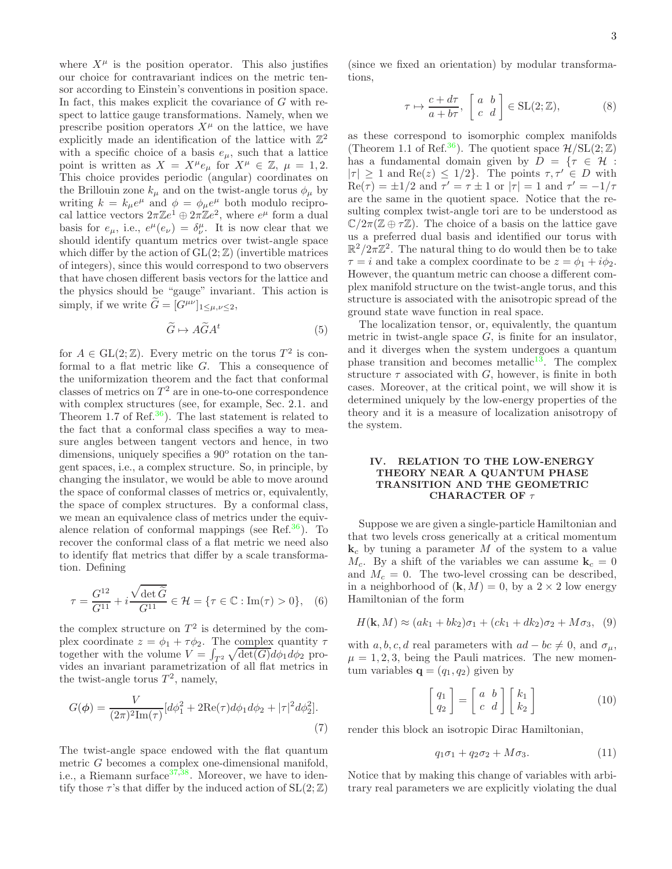where  $X^{\mu}$  is the position operator. This also justifies our choice for contravariant indices on the metric tensor according to Einstein's conventions in position space. In fact, this makes explicit the covariance of  $G$  with respect to lattice gauge transformations. Namely, when we prescribe position operators  $X^{\mu}$  on the lattice, we have explicitly made an identification of the lattice with  $\mathbb{Z}^2$ with a specific choice of a basis  $e_{\mu}$ , such that a lattice point is written as  $X = X^{\mu}e_{\mu}$  for  $X^{\mu} \in \mathbb{Z}, \mu = 1, 2$ . This choice provides periodic (angular) coordinates on the Brillouin zone  $k_{\mu}$  and on the twist-angle torus  $\phi_{\mu}$  by writing  $k = k_{\mu}e^{\mu}$  and  $\phi = \phi_{\mu}e^{\mu}$  both modulo reciprocal lattice vectors  $2\pi\mathbb{Z}e^1 \oplus 2\pi\mathbb{Z}e^2$ , where  $e^{\mu}$  form a dual basis for  $e_{\mu}$ , i.e.,  $e^{\mu}(e_{\nu}) = \delta^{\mu}_{\nu}$ . It is now clear that we should identify quantum metrics over twist-angle space which differ by the action of  $GL(2;\mathbb{Z})$  (invertible matrices of integers), since this would correspond to two observers that have chosen different basis vectors for the lattice and the physics should be "gauge" invariant. This action is simply, if we write  $G = [G^{\mu\nu}]_{1 \leq \mu,\nu \leq 2}$ ,

$$
\widetilde{G} \mapsto A\widetilde{G}A^t \tag{5}
$$

for  $A \in GL(2;\mathbb{Z})$ . Every metric on the torus  $T^2$  is conformal to a flat metric like G. This a consequence of the uniformization theorem and the fact that conformal classes of metrics on  $T^2$  are in one-to-one correspondence with complex structures (see, for example, Sec. 2.1. and Theorem 1.7 of Ref.<sup>[36](#page-6-8)</sup>). The last statement is related to the fact that a conformal class specifies a way to measure angles between tangent vectors and hence, in two dimensions, uniquely specifies a 90° rotation on the tangent spaces, i.e., a complex structure. So, in principle, by changing the insulator, we would be able to move around the space of conformal classes of metrics or, equivalently, the space of complex structures. By a conformal class, we mean an equivalence class of metrics under the equiv-alence relation of conformal mappings (see Ref.<sup>[36](#page-6-8)</sup>). To recover the conformal class of a flat metric we need also to identify flat metrics that differ by a scale transformation. Defining

$$
\tau = \frac{G^{12}}{G^{11}} + i \frac{\sqrt{\det \widetilde{G}}}{G^{11}} \in \mathcal{H} = \{ \tau \in \mathbb{C} : \text{Im}(\tau) > 0 \}, \quad (6)
$$

the complex structure on  $T^2$  is determined by the complex coordinate  $z = \phi_1 + \tau \phi_2$ . The complex quantity  $\tau$ together with the volume  $V = \int_{T^2} \sqrt{\det(G)} d\phi_1 d\phi_2$  provides an invariant parametrization of all flat metrics in the twist-angle torus  $T^2$ , namely,

$$
G(\phi) = \frac{V}{(2\pi)^2 \text{Im}(\tau)} [d\phi_1^2 + 2\text{Re}(\tau)d\phi_1 d\phi_2 + |\tau|^2 d\phi_2^2].
$$
\n(7)

The twist-angle space endowed with the flat quantum metric G becomes a complex one-dimensional manifold, i.e., a Riemann surface  $37,38$  $37,38$ . Moreover, we have to identify those  $\tau$ 's that differ by the induced action of  $SL(2;\mathbb{Z})$ 

(since we fixed an orientation) by modular transformations,

$$
\tau \mapsto \frac{c + d\tau}{a + b\tau}, \begin{bmatrix} a & b \\ c & d \end{bmatrix} \in \text{SL}(2; \mathbb{Z}), \tag{8}
$$

as these correspond to isomorphic complex manifolds (Theorem 1.1 of Ref.<sup>[36](#page-6-8)</sup>). The quotient space  $\mathcal{H}/SL(2;\mathbb{Z})$ has a fundamental domain given by  $D = \{ \tau \in \mathcal{H} :$  $|\tau| \geq 1$  and  $\text{Re}(z) \leq 1/2$ . The points  $\tau, \tau' \in D$  with  $\text{Re}(\tau) = \pm 1/2$  and  $\tau' = \tau \pm 1$  or  $|\tau| = 1$  and  $\tau' = -1/\tau$ are the same in the quotient space. Notice that the resulting complex twist-angle tori are to be understood as  $\mathbb{C}/2\pi(\mathbb{Z} \oplus \tau \mathbb{Z})$ . The choice of a basis on the lattice gave us a preferred dual basis and identified our torus with  $\mathbb{R}^2/2\pi\mathbb{Z}^2$ . The natural thing to do would then be to take  $\tau = i$  and take a complex coordinate to be  $z = \phi_1 + i\phi_2$ . However, the quantum metric can choose a different complex manifold structure on the twist-angle torus, and this structure is associated with the anisotropic spread of the ground state wave function in real space.

The localization tensor, or, equivalently, the quantum metric in twist-angle space  $G$ , is finite for an insulator, and it diverges when the system undergoes a quantum phase transition and becomes metallic<sup>[13](#page-5-10)</sup>. The complex structure  $\tau$  associated with  $G$ , however, is finite in both cases. Moreover, at the critical point, we will show it is determined uniquely by the low-energy properties of the theory and it is a measure of localization anisotropy of the system.

# <span id="page-2-0"></span>IV. RELATION TO THE LOW-ENERGY THEORY NEAR A QUANTUM PHASE TRANSITION AND THE GEOMETRIC CHARACTER OF  $\tau$

Suppose we are given a single-particle Hamiltonian and that two levels cross generically at a critical momentum  $\mathbf{k}_c$  by tuning a parameter M of the system to a value  $M_c$ . By a shift of the variables we can assume  $\mathbf{k}_c = 0$ and  $M_c = 0$ . The two-level crossing can be described, in a neighborhood of  $(k, M) = 0$ , by a  $2 \times 2$  low energy Hamiltonian of the form

$$
H(\mathbf{k}, M) \approx (ak_1 + bk_2)\sigma_1 + (ck_1 + dk_2)\sigma_2 + M\sigma_3, \quad (9)
$$

with a, b, c, d real parameters with  $ad - bc \neq 0$ , and  $\sigma_{\mu}$ ,  $\mu = 1, 2, 3$ , being the Pauli matrices. The new momentum variables  $\mathbf{q} = (q_1, q_2)$  given by

$$
\begin{bmatrix} q_1 \\ q_2 \end{bmatrix} = \begin{bmatrix} a & b \\ c & d \end{bmatrix} \begin{bmatrix} k_1 \\ k_2 \end{bmatrix}
$$
 (10)

render this block an isotropic Dirac Hamiltonian,

<span id="page-2-1"></span>
$$
q_1\sigma_1 + q_2\sigma_2 + M\sigma_3. \tag{11}
$$

Notice that by making this change of variables with arbitrary real parameters we are explicitly violating the dual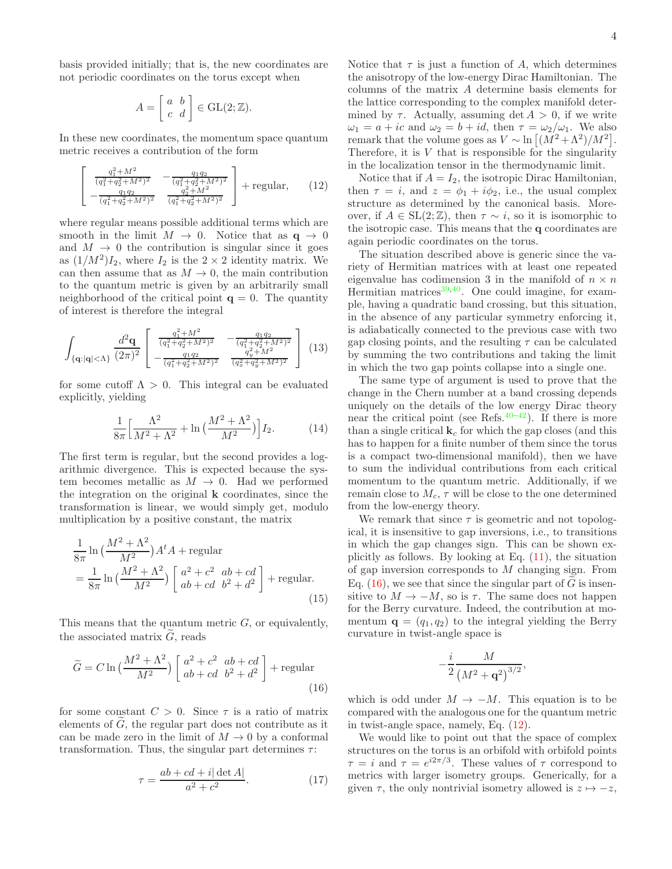basis provided initially; that is, the new coordinates are not periodic coordinates on the torus except when

$$
A = \begin{bmatrix} a & b \\ c & d \end{bmatrix} \in \text{GL}(2; \mathbb{Z}).
$$

In these new coordinates, the momentum space quantum metric receives a contribution of the form

$$
\begin{bmatrix}\n\frac{q_1^2 + M^2}{(q_1^2 + q_2^2 + M^2)^2} & -\frac{q_1 q_2}{(q_1^2 + q_2^2 + M^2)^2} \\
-\frac{q_1 q_2}{(q_1^2 + q_2^2 + M^2)^2} & \frac{q_2^2 + M^2}{(q_1^2 + q_2^2 + M^2)^2}\n\end{bmatrix} + \text{regular}, \quad (12)
$$

where regular means possible additional terms which are smooth in the limit  $M \to 0$ . Notice that as  $q \to 0$ and  $M \rightarrow 0$  the contribution is singular since it goes as  $(1/M^2)I_2$ , where  $I_2$  is the  $2 \times 2$  identity matrix. We can then assume that as  $M \to 0$ , the main contribution to the quantum metric is given by an arbitrarily small neighborhood of the critical point  $q = 0$ . The quantity of interest is therefore the integral

$$
\int_{\{\mathbf{q}: |\mathbf{q}| < \Lambda\}} \frac{d^2 \mathbf{q}}{(2\pi)^2} \begin{bmatrix} \frac{q_1^2 + M^2}{(q_1^2 + q_2^2 + M^2)^2} & -\frac{q_1 q_2}{(q_1^2 + q_2^2 + M^2)^2} \\ -\frac{q_1 q_2}{(q_1^2 + q_2^2 + M^2)^2} & \frac{q_y^2 + M^2}{(q_x^2 + q_y^2 + M^2)^2} \end{bmatrix} (13)
$$

for some cutoff  $\Lambda > 0$ . This integral can be evaluated explicitly, yielding

$$
\frac{1}{8\pi} \left[ \frac{\Lambda^2}{M^2 + \Lambda^2} + \ln \left( \frac{M^2 + \Lambda^2}{M^2} \right) \right] I_2. \tag{14}
$$

The first term is regular, but the second provides a logarithmic divergence. This is expected because the system becomes metallic as  $M \to 0$ . Had we performed the integration on the original k coordinates, since the transformation is linear, we would simply get, modulo multiplication by a positive constant, the matrix

$$
\frac{1}{8\pi} \ln \left( \frac{M^2 + \Lambda^2}{M^2} \right) A^t A + \text{regular} \n= \frac{1}{8\pi} \ln \left( \frac{M^2 + \Lambda^2}{M^2} \right) \left[ \frac{a^2 + c^2}{ab + cd} \frac{ab + cd}{b^2 + d^2} \right] + \text{regular.}
$$
\n(15)

This means that the quantum metric  $G$ , or equivalently, the associated matrix  $G$ , reads

$$
\widetilde{G} = C \ln \left( \frac{M^2 + \Lambda^2}{M^2} \right) \left[ \begin{array}{cc} a^2 + c^2 & ab + cd \\ ab + cd & b^2 + d^2 \end{array} \right] + \text{regular} \tag{16}
$$

for some constant  $C > 0$ . Since  $\tau$  is a ratio of matrix elements of  $\tilde{G}$ , the regular part does not contribute as it can be made zero in the limit of  $M \to 0$  by a conformal transformation. Thus, the singular part determines  $\tau$ :

$$
\tau = \frac{ab + cd + i|\det A|}{a^2 + c^2}.
$$
\n(17)

Notice that  $\tau$  is just a function of A, which determines the anisotropy of the low-energy Dirac Hamiltonian. The columns of the matrix A determine basis elements for the lattice corresponding to the complex manifold determined by  $\tau$ . Actually, assuming det  $A > 0$ , if we write  $\omega_1 = a + ic$  and  $\omega_2 = b + id$ , then  $\tau = \omega_2/\omega_1$ . We also remark that the volume goes as  $V \sim \ln \left[ (M^2 + \Lambda^2)/M^2 \right]$ . Therefore, it is  $V$  that is responsible for the singularity in the localization tensor in the thermodynamic limit.

<span id="page-3-1"></span>Notice that if  $A = I_2$ , the isotropic Dirac Hamiltonian, then  $\tau = i$ , and  $z = \phi_1 + i\phi_2$ , i.e., the usual complex structure as determined by the canonical basis. Moreover, if  $A \in SL(2;\mathbb{Z})$ , then  $\tau \sim i$ , so it is isomorphic to the isotropic case. This means that the q coordinates are again periodic coordinates on the torus.

The situation described above is generic since the variety of Hermitian matrices with at least one repeated eigenvalue has codimension 3 in the manifold of  $n \times n$ Hermitian matrices $39,40$  $39,40$ . One could imagine, for example, having a quadratic band crossing, but this situation, in the absence of any particular symmetry enforcing it, is adiabatically connected to the previous case with two gap closing points, and the resulting  $\tau$  can be calculated by summing the two contributions and taking the limit in which the two gap points collapse into a single one.

The same type of argument is used to prove that the change in the Chern number at a band crossing depends uniquely on the details of the low energy Dirac theory near the critical point (see Refs. $40-42$  $40-42$ ). If there is more than a single critical  $\mathbf{k}_c$  for which the gap closes (and this has to happen for a finite number of them since the torus is a compact two-dimensional manifold), then we have to sum the individual contributions from each critical momentum to the quantum metric. Additionally, if we remain close to  $M_c$ ,  $\tau$  will be close to the one determined from the low-energy theory.

We remark that since  $\tau$  is geometric and not topological, it is insensitive to gap inversions, i.e., to transitions in which the gap changes sign. This can be shown explicitly as follows. By looking at Eq. [\(11\)](#page-2-1), the situation of gap inversion corresponds to M changing sign. From Eq.  $(16)$ , we see that since the singular part of G is insensitive to  $M \to -M$ , so is  $\tau$ . The same does not happen for the Berry curvature. Indeed, the contribution at momentum  $\mathbf{q} = (q_1, q_2)$  to the integral yielding the Berry curvature in twist-angle space is

$$
-\frac{i}{2}\frac{M}{\left(M^2+\mathbf{q}^2\right)^{3/2}},
$$

<span id="page-3-0"></span>which is odd under  $M \rightarrow -M$ . This equation is to be compared with the analogous one for the quantum metric in twist-angle space, namely, Eq. [\(12\)](#page-3-1).

We would like to point out that the space of complex structures on the torus is an orbifold with orbifold points  $\tau = i$  and  $\tau = e^{i2\pi/3}$ . These values of  $\tau$  correspond to metrics with larger isometry groups. Generically, for a given  $\tau$ , the only nontrivial isometry allowed is  $z \mapsto -z$ ,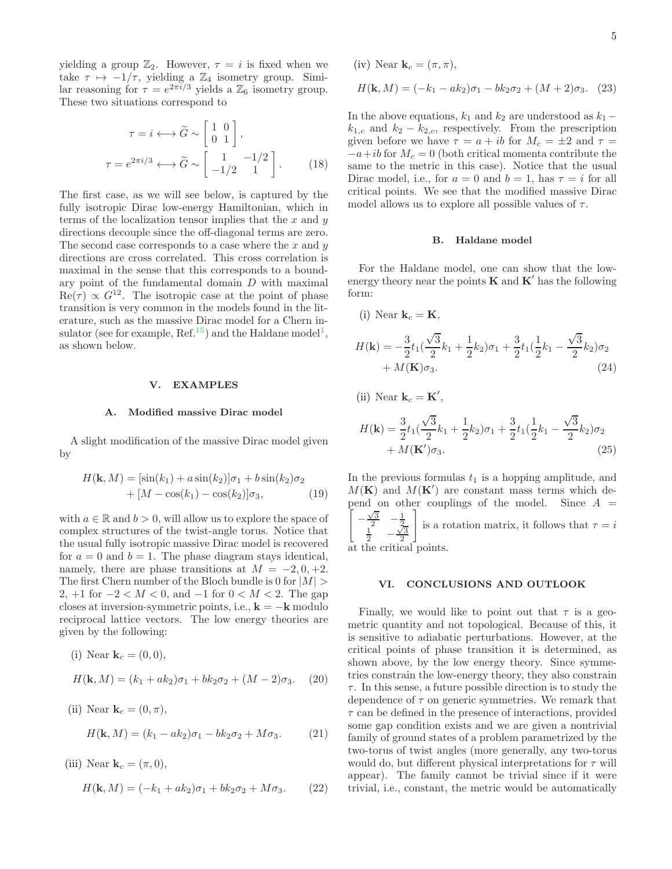yielding a group  $\mathbb{Z}_2$ . However,  $\tau = i$  is fixed when we take  $\tau \mapsto -1/\tau$ , yielding a  $\mathbb{Z}_4$  isometry group. Similar reasoning for  $\tau = e^{2\pi i/3}$  yields a  $\mathbb{Z}_6$  isometry group. These two situations correspond to

$$
\tau = i \longleftrightarrow \widetilde{G} \sim \begin{bmatrix} 1 & 0 \\ 0 & 1 \end{bmatrix},
$$

$$
\tau = e^{2\pi i/3} \longleftrightarrow \widetilde{G} \sim \begin{bmatrix} 1 & -1/2 \\ -1/2 & 1 \end{bmatrix}.
$$
(18)

The first case, as we will see below, is captured by the fully isotropic Dirac low-energy Hamiltonian, which in terms of the localization tensor implies that the  $x$  and  $y$ directions decouple since the off-diagonal terms are zero. The second case corresponds to a case where the  $x$  and  $y$ directions are cross correlated. This cross correlation is maximal in the sense that this corresponds to a boundary point of the fundamental domain  $D$  with maximal  $\text{Re}(\tau) \propto G^{12}$ . The isotropic case at the point of phase transition is very common in the models found in the literature, such as the massive Dirac model for a Chern in-sulator (see for example, Ref.<sup>[15](#page-5-12)</sup>) and the Haldane model<sup>[1](#page-5-1)</sup>, as shown below.

### <span id="page-4-0"></span>V. EXAMPLES

#### A. Modified massive Dirac model

A slight modification of the massive Dirac model given by

$$
H(\mathbf{k}, M) = [\sin(k_1) + a \sin(k_2)]\sigma_1 + b \sin(k_2)\sigma_2 + [M - \cos(k_1) - \cos(k_2)]\sigma_3,
$$
 (19)

with  $a \in \mathbb{R}$  and  $b > 0$ , will allow us to explore the space of complex structures of the twist-angle torus. Notice that the usual fully isotropic massive Dirac model is recovered for  $a = 0$  and  $b = 1$ . The phase diagram stays identical, namely, there are phase transitions at  $M = -2, 0, +2$ . The first Chern number of the Bloch bundle is 0 for  $|M|$ 2,  $+1$  for  $-2 < M < 0$ , and  $-1$  for  $0 < M < 2$ . The gap closes at inversion-symmetric points, i.e.,  $\mathbf{k} = -\mathbf{k}$  modulo reciprocal lattice vectors. The low energy theories are given by the following:

(i) Near 
$$
\mathbf{k}_c = (0,0),
$$

$$
H(\mathbf{k}, M) = (k_1 + ak_2)\sigma_1 + bk_2\sigma_2 + (M - 2)\sigma_3. \quad (20)
$$

(ii) Near 
$$
\mathbf{k}_c = (0, \pi)
$$
,  
\n
$$
H(\mathbf{k}, M) = (k_1 - ak_2)\sigma_1 - bk_2\sigma_2 + M\sigma_3.
$$
\n(21)

(iii) Near  $\mathbf{k}_c = (\pi, 0),$ 

$$
H(\mathbf{k}, M) = (-k_1 + ak_2)\sigma_1 + bk_2\sigma_2 + M\sigma_3. \tag{22}
$$

(iv) Near 
$$
\mathbf{k}_c = (\pi, \pi)
$$
,  
\n
$$
H(\mathbf{k}, M) = (-k_1 - ak_2)\sigma_1 - bk_2\sigma_2 + (M + 2)\sigma_3.
$$
 (23)

In the above equations,  $k_1$  and  $k_2$  are understood as  $k_1$  –  $k_{1,c}$  and  $k_2 - k_{2,c}$ , respectively. From the prescription given before we have  $\tau = a + ib$  for  $M_c = \pm 2$  and  $\tau =$  $-a+ib$  for  $M_c = 0$  (both critical momenta contribute the same to the metric in this case). Notice that the usual Dirac model, i.e., for  $a = 0$  and  $b = 1$ , has  $\tau = i$  for all critical points. We see that the modified massive Dirac model allows us to explore all possible values of  $\tau$ .

## B. Haldane model

For the Haldane model, one can show that the lowenergy theory near the points **K** and **K**' has the following form:

(i) Near 
$$
\mathbf{k}_c = \mathbf{K}
$$
,  
\n
$$
H(\mathbf{k}) = -\frac{3}{2}t_1(\frac{\sqrt{3}}{2}k_1 + \frac{1}{2}k_2)\sigma_1 + \frac{3}{2}t_1(\frac{1}{2}k_1 - \frac{\sqrt{3}}{2}k_2)\sigma_2 + M(\mathbf{K})\sigma_3.
$$
\n(24)

(ii) Near  $\mathbf{k}_c = \mathbf{K}'$ ,

$$
H(\mathbf{k}) = \frac{3}{2}t_1(\frac{\sqrt{3}}{2}k_1 + \frac{1}{2}k_2)\sigma_1 + \frac{3}{2}t_1(\frac{1}{2}k_1 - \frac{\sqrt{3}}{2}k_2)\sigma_2 + M(\mathbf{K}')\sigma_3.
$$
\n(25)

In the previous formulas  $t_1$  is a hopping amplitude, and  $M(K)$  and  $M(K')$  are constant mass terms which de-<u>ן</u> pend on other couplings of the model. Since  $A =$ −  $\frac{\sqrt{3}}{2}$   $-\frac{1}{2}$ <br> $\frac{\sqrt{3}}{2}$   $-\frac{\sqrt{3}}{2}$  $\frac{\sqrt{3}}{2}$  $\overline{1}$ is a rotation matrix, it follows that  $\tau = i$ at the critical points.

<span id="page-4-1"></span>VI. CONCLUSIONS AND OUTLOOK

Finally, we would like to point out that  $\tau$  is a geometric quantity and not topological. Because of this, it is sensitive to adiabatic perturbations. However, at the critical points of phase transition it is determined, as shown above, by the low energy theory. Since symmetries constrain the low-energy theory, they also constrain  $\tau$ . In this sense, a future possible direction is to study the dependence of  $\tau$  on generic symmetries. We remark that  $\tau$  can be defined in the presence of interactions, provided some gap condition exists and we are given a nontrivial family of ground states of a problem parametrized by the two-torus of twist angles (more generally, any two-torus would do, but different physical interpretations for  $\tau$  will appear). The family cannot be trivial since if it were trivial, i.e., constant, the metric would be automatically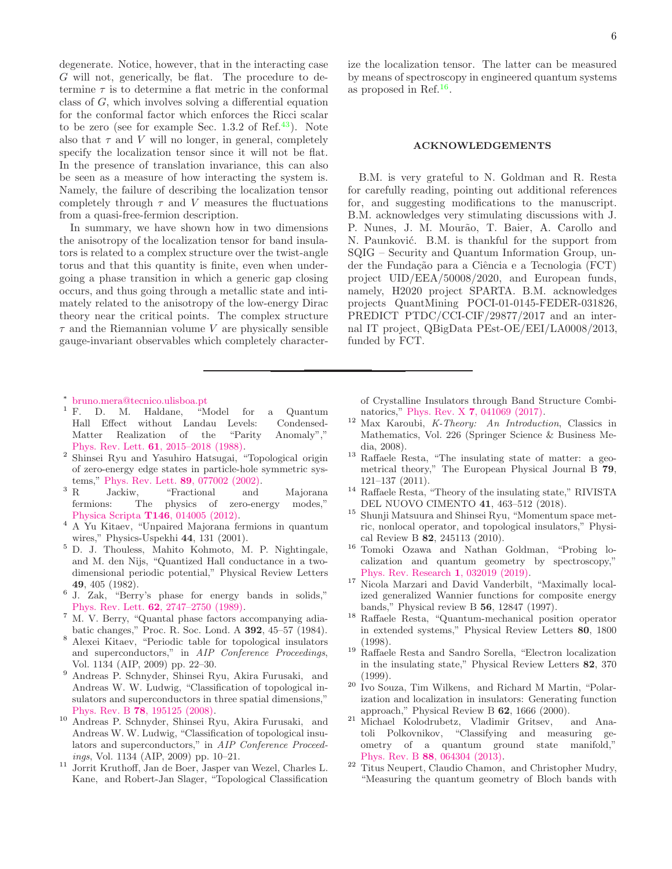degenerate. Notice, however, that in the interacting case G will not, generically, be flat. The procedure to determine  $\tau$  is to determine a flat metric in the conformal class of G, which involves solving a differential equation for the conformal factor which enforces the Ricci scalar to be zero (see for example Sec.  $1.3.2$  of Ref.<sup>[43](#page-6-14)</sup>). Note also that  $\tau$  and V will no longer, in general, completely specify the localization tensor since it will not be flat. In the presence of translation invariance, this can also be seen as a measure of how interacting the system is. Namely, the failure of describing the localization tensor completely through  $\tau$  and V measures the fluctuations from a quasi-free-fermion description.

In summary, we have shown how in two dimensions the anisotropy of the localization tensor for band insulators is related to a complex structure over the twist-angle torus and that this quantity is finite, even when undergoing a phase transition in which a generic gap closing occurs, and thus going through a metallic state and intimately related to the anisotropy of the low-energy Dirac theory near the critical points. The complex structure  $\tau$  and the Riemannian volume V are physically sensible gauge-invariant observables which completely character-

- <sup>∗</sup> [bruno.mera@tecnico.ulisboa.pt](mailto:bruno.mera@tecnico.ulisboa.pt)
- <span id="page-5-1"></span><span id="page-5-0"></span><sup>1</sup> F. D. M. Haldane, "Model for a Quantum Hall Effect without Landau Levels: Condensed-Matter Realization of the "Parity Anomaly"," Phys. Rev. Lett. 61[, 2015–2018 \(1988\).](http://dx.doi.org/10.1103/PhysRevLett.61.2015)
- <span id="page-5-2"></span>2 Shinsei Ryu and Yasuhiro Hatsugai, "Topological origin of zero-energy edge states in particle-hole symmetric sys-
- tems," [Phys. Rev. Lett.](http://dx.doi.org/10.1103/PhysRevLett.89.077002) **89**, 077002 (2002).<br><sup>3</sup> B Jackiw. "Fractional and Jackiw, "Fractional and Majorana fermions: The physics of zero-energy modes," Physica Scripta T146[, 014005 \(2012\).](http://dx.doi.org/ 10.1088/0031-8949/2012/t146/014005)
- <span id="page-5-3"></span><sup>4</sup> A Yu Kitaev, "Unpaired Majorana fermions in quantum wires," Physics-Uspekhi 44, 131 (2001).
- <span id="page-5-4"></span><sup>5</sup> D. J. Thouless, Mahito Kohmoto, M. P. Nightingale, and M. den Nijs, "Quantized Hall conductance in a twodimensional periodic potential," Physical Review Letters 49, 405 (1982).
- <span id="page-5-5"></span>6 J. Zak, "Berry's phase for energy bands in solids," Phys. Rev. Lett. 62[, 2747–2750 \(1989\).](http://dx.doi.org/10.1103/PhysRevLett.62.2747)
- <span id="page-5-6"></span><sup>7</sup> M. V. Berry, "Quantal phase factors accompanying adiabatic changes," Proc. R. Soc. Lond. A 392, 45–57 (1984).
- <span id="page-5-7"></span><sup>8</sup> Alexei Kitaev, "Periodic table for topological insulators and superconductors," in *AIP Conference Proceedings*, Vol. 1134 (AIP, 2009) pp. 22–30.
- <sup>9</sup> Andreas P. Schnyder, Shinsei Ryu, Akira Furusaki, and Andreas W. W. Ludwig, "Classification of topological insulators and superconductors in three spatial dimensions," Phys. Rev. B 78[, 195125 \(2008\).](http://dx.doi.org/10.1103/PhysRevB.78.195125)
- <sup>10</sup> Andreas P. Schnyder, Shinsei Ryu, Akira Furusaki, and Andreas W. W. Ludwig, "Classification of topological insulators and superconductors," in *AIP Conference Proceedings*, Vol. 1134 (AIP, 2009) pp. 10–21.
- <span id="page-5-8"></span><sup>11</sup> Jorrit Kruthoff, Jan de Boer, Jasper van Wezel, Charles L. Kane, and Robert-Jan Slager, "Topological Classification

ize the localization tensor. The latter can be measured by means of spectroscopy in engineered quantum systems as proposed in Ref.<sup>[16](#page-5-13)</sup>.

# ACKNOWLEDGEMENTS

B.M. is very grateful to N. Goldman and R. Resta for carefully reading, pointing out additional references for, and suggesting modifications to the manuscript. B.M. acknowledges very stimulating discussions with J. P. Nunes, J. M. Mourão, T. Baier, A. Carollo and N. Paunković. B.M. is thankful for the support from SQIG – Security and Quantum Information Group, under the Fundação para a Ciência e a Tecnologia (FCT) project UID/EEA/50008/2020, and European funds, namely, H2020 project SPARTA. B.M. acknowledges projects QuantMining POCI-01-0145-FEDER-031826, PREDICT PTDC/CCI-CIF/29877/2017 and an internal IT project, QBigData PEst-OE/EEI/LA0008/2013, funded by FCT.

of Crystalline Insulators through Band Structure Combinatorics," Phys. Rev. X 7[, 041069 \(2017\).](http://dx.doi.org/10.1103/PhysRevX.7.041069)

- <span id="page-5-9"></span><sup>12</sup> Max Karoubi, *K-Theory: An Introduction*, Classics in Mathematics, Vol. 226 (Springer Science & Business Media, 2008).
- <span id="page-5-10"></span><sup>13</sup> Raffaele Resta, "The insulating state of matter: a geometrical theory," The European Physical Journal B 79, 121–137 (2011).
- <span id="page-5-11"></span><sup>14</sup> Raffaele Resta, "Theory of the insulating state," RIVISTA DEL NUOVO CIMENTO 41, 463–512 (2018).
- <span id="page-5-12"></span><sup>15</sup> Shunji Matsuura and Shinsei Ryu, "Momentum space metric, nonlocal operator, and topological insulators," Physical Review B 82, 245113 (2010).
- <span id="page-5-13"></span><sup>16</sup> Tomoki Ozawa and Nathan Goldman, "Probing localization and quantum geometry by spectroscopy," [Phys. Rev. Research](http://dx.doi.org/ 10.1103/PhysRevResearch.1.032019) 1, 032019 (2019).
- <span id="page-5-14"></span><sup>17</sup> Nicola Marzari and David Vanderbilt, "Maximally localized generalized Wannier functions for composite energy bands," Physical review B 56, 12847 (1997).
- <sup>18</sup> Raffaele Resta, "Quantum-mechanical position operator in extended systems," Physical Review Letters 80, 1800 (1998).
- <sup>19</sup> Raffaele Resta and Sandro Sorella, "Electron localization in the insulating state," Physical Review Letters 82, 370 (1999).
- <span id="page-5-15"></span><sup>20</sup> Ivo Souza, Tim Wilkens, and Richard M Martin, "Polarization and localization in insulators: Generating function approach," Physical Review B 62, 1666 (2000).
- <span id="page-5-16"></span><sup>21</sup> Michael Kolodrubetz, Vladimir Gritsev, and Anatoli Polkovnikov, "Classifying and measuring geometry of a quantum ground state manifold," Phys. Rev. B 88[, 064304 \(2013\).](http://dx.doi.org/10.1103/PhysRevB.88.064304)
- $22$  Titus Neupert, Claudio Chamon, and Christopher Mudry, "Measuring the quantum geometry of Bloch bands with